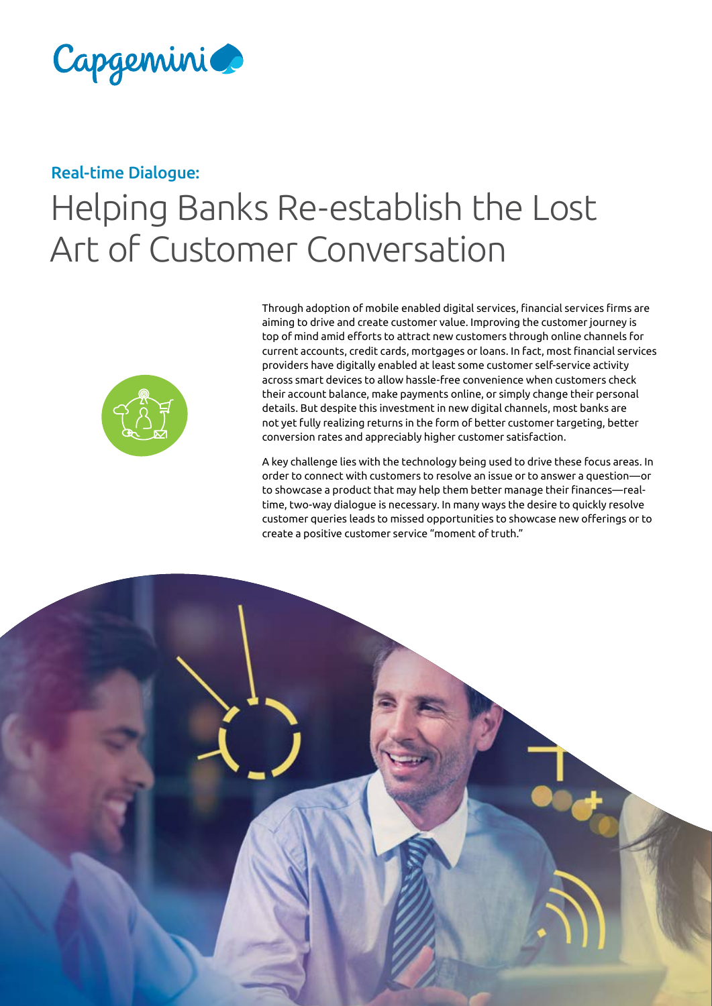

#### Real-time Dialogue:

# Helping Banks Re-establish the Lost Art of Customer Conversation



Through adoption of mobile enabled digital services, financial services firms are aiming to drive and create customer value. Improving the customer journey is top of mind amid efforts to attract new customers through online channels for current accounts, credit cards, mortgages or loans. In fact, most financial services providers have digitally enabled at least some customer self-service activity across smart devices to allow hassle-free convenience when customers check their account balance, make payments online, or simply change their personal details. But despite this investment in new digital channels, most banks are not yet fully realizing returns in the form of better customer targeting, better conversion rates and appreciably higher customer satisfaction.

A key challenge lies with the technology being used to drive these focus areas. In order to connect with customers to resolve an issue or to answer a question—or to showcase a product that may help them better manage their finances—realtime, two-way dialogue is necessary. In many ways the desire to quickly resolve customer queries leads to missed opportunities to showcase new offerings or to create a positive customer service "moment of truth."

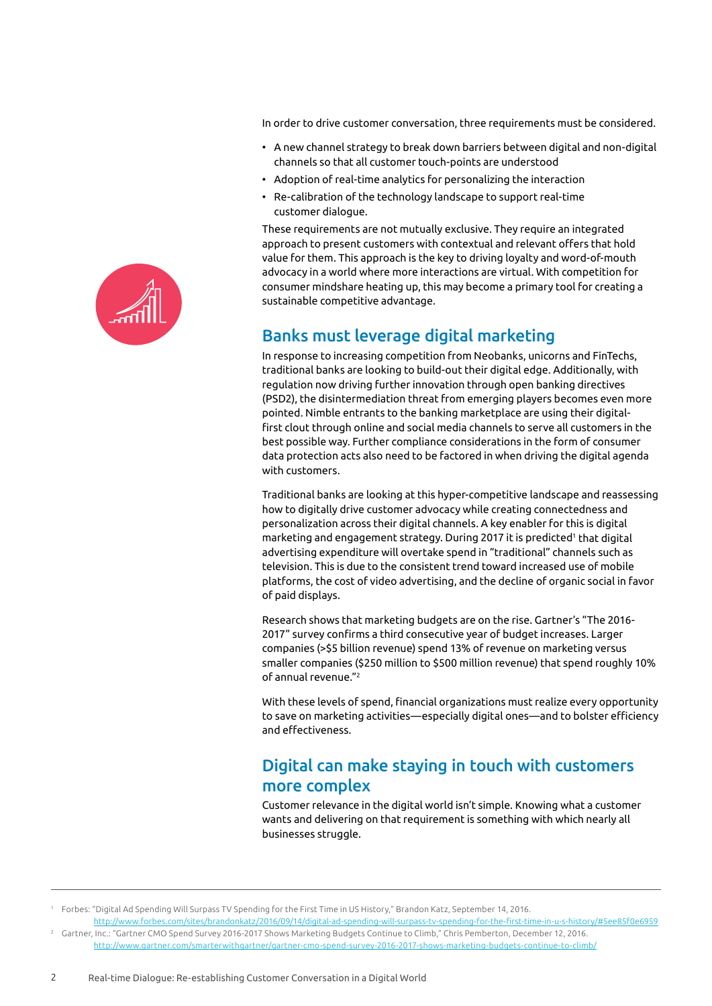In order to drive customer conversation, three requirements must be considered.

- A new channel strategy to break down barriers between digital and non-digital channels so that all customer touch-points are understood
- Adoption of real-time analytics for personalizing the interaction
- Re-calibration of the technology landscape to support real-time customer dialogue.

These requirements are not mutually exclusive. They require an integrated approach to present customers with contextual and relevant offers that hold value for them. This approach is the key to driving loyalty and word-of-mouth advocacy in a world where more interactions are virtual. With competition for consumer mindshare heating up, this may become a primary tool for creating a sustainable competitive advantage.

## Banks must leverage digital marketing

In response to increasing competition from Neobanks, unicorns and FinTechs, traditional banks are looking to build-out their digital edge. Additionally, with regulation now driving further innovation through open banking directives (PSD2), the disintermediation threat from emerging players becomes even more pointed. Nimble entrants to the banking marketplace are using their digitalfirst clout through online and social media channels to serve all customers in the best possible way. Further compliance considerations in the form of consumer data protection acts also need to be factored in when driving the digital agenda with customers.

Traditional banks are looking at this hyper-competitive landscape and reassessing how to digitally drive customer advocacy while creating connectedness and personalization across their digital channels. A key enabler for this is digital marketing and engagement strategy. During 2017 it is predicted<sup>1</sup> that digital advertising expenditure will overtake spend in "traditional" channels such as television. This is due to the consistent trend toward increased use of mobile platforms, the cost of video advertising, and the decline of organic social in favor of paid displays.

Research shows that marketing budgets are on the rise. Gartner's "The 2016- 2017" survey confirms a third consecutive year of budget increases. Larger companies (>\$5 billion revenue) spend 13% of revenue on marketing versus smaller companies (\$250 million to \$500 million revenue) that spend roughly 10% of annual revenue."2

With these levels of spend, financial organizations must realize every opportunity to save on marketing activities—especially digital ones—and to bolster efficiency and effectiveness.

### Digital can make staying in touch with customers more complex

Customer relevance in the digital world isn't simple. Knowing what a customer wants and delivering on that requirement is something with which nearly all businesses struggle.

<sup>1</sup> Forbes: "Digital Ad Spending Will Surpass TV Spending for the First Time in US History," Brandon Katz, September 14, 2016. [http://www.forbes.com/sites/brandonkatz/2016/09/14/digital-ad-spending-will-surpass-tv-spending-for-the-first-time-in-u-s-history/#5ee85f0e6959](https://www.forbes.com/forbes/welcome/?toURL=https://www.forbes.com/sites/brandonkatz/2016/09/14/digital-ad-spending-will-surpass-tv-spending-for-the-first-time-in-u-s-history/&refURL=&referrer=#5ee85f0e6959)

<sup>2</sup> Gartner, Inc.: "Gartner CMO Spend Survey 2016-2017 Shows Marketing Budgets Continue to Climb," Chris Pemberton, December 12, 2016. <http://www.gartner.com/smarterwithgartner/gartner-cmo-spend-survey-2016-2017-shows-marketing-budgets-continue-to-climb/>

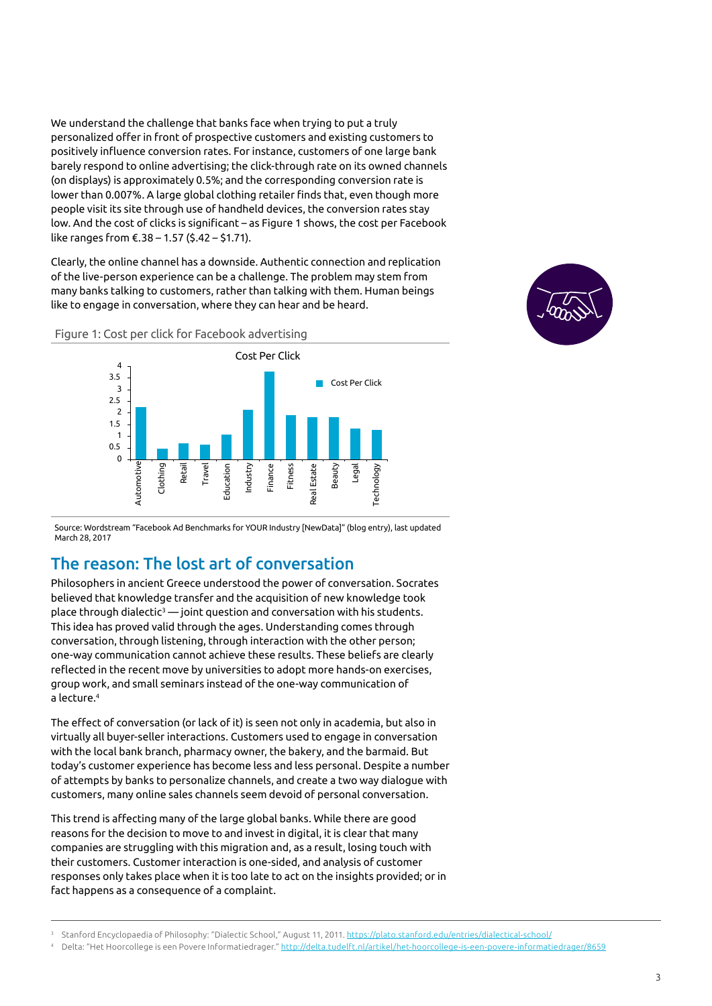We understand the challenge that banks face when trying to put a truly personalized offer in front of prospective customers and existing customers to positively influence conversion rates. For instance, customers of one large bank barely respond to online advertising; the click-through rate on its owned channels (on displays) is approximately 0.5%; and the corresponding conversion rate is lower than 0.007%. A large global clothing retailer finds that, even though more people visit its site through use of handheld devices, the conversion rates stay low. And the cost of clicks is significant – as Figure 1 shows, the cost per Facebook like ranges from €.38 – 1.57 (\$.42 – \$1.71).

Clearly, the online channel has a downside. Authentic connection and replication of the live-person experience can be a challenge. The problem may stem from many banks talking to customers, rather than talking with them. Human beings like to engage in conversation, where they can hear and be heard.







Source: Wordstream "Facebook Ad Benchmarks for YOUR Industry [NewData]" (blog entry), last updated March 28, 2017

### The reason: The lost art of conversation

Philosophers in ancient Greece understood the power of conversation. Socrates believed that knowledge transfer and the acquisition of new knowledge took place through dialectic<sup>3</sup> — joint question and conversation with his students. This idea has proved valid through the ages. Understanding comes through conversation, through listening, through interaction with the other person; one-way communication cannot achieve these results. These beliefs are clearly reflected in the recent move by universities to adopt more hands-on exercises, group work, and small seminars instead of the one-way communication of a lecture.<sup>4</sup>

The effect of conversation (or lack of it) is seen not only in academia, but also in virtually all buyer-seller interactions. Customers used to engage in conversation with the local bank branch, pharmacy owner, the bakery, and the barmaid. But today's customer experience has become less and less personal. Despite a number of attempts by banks to personalize channels, and create a two way dialogue with customers, many online sales channels seem devoid of personal conversation.

This trend is affecting many of the large global banks. While there are good reasons for the decision to move to and invest in digital, it is clear that many companies are struggling with this migration and, as a result, losing touch with their customers. Customer interaction is one-sided, and analysis of customer responses only takes place when it is too late to act on the insights provided; or in fact happens as a consequence of a complaint.

<sup>3</sup> Stanford Encyclopaedia of Philosophy: "Dialectic School," August 11, 2011.<https://plato.stanford.edu/entries/dialectical-school/>

<sup>4</sup> Delta: "Het Hoorcollege is een Povere Informatiedrager." <http://delta.tudelft.nl/artikel/het-hoorcollege-is-een-povere-informatiedrager/8659>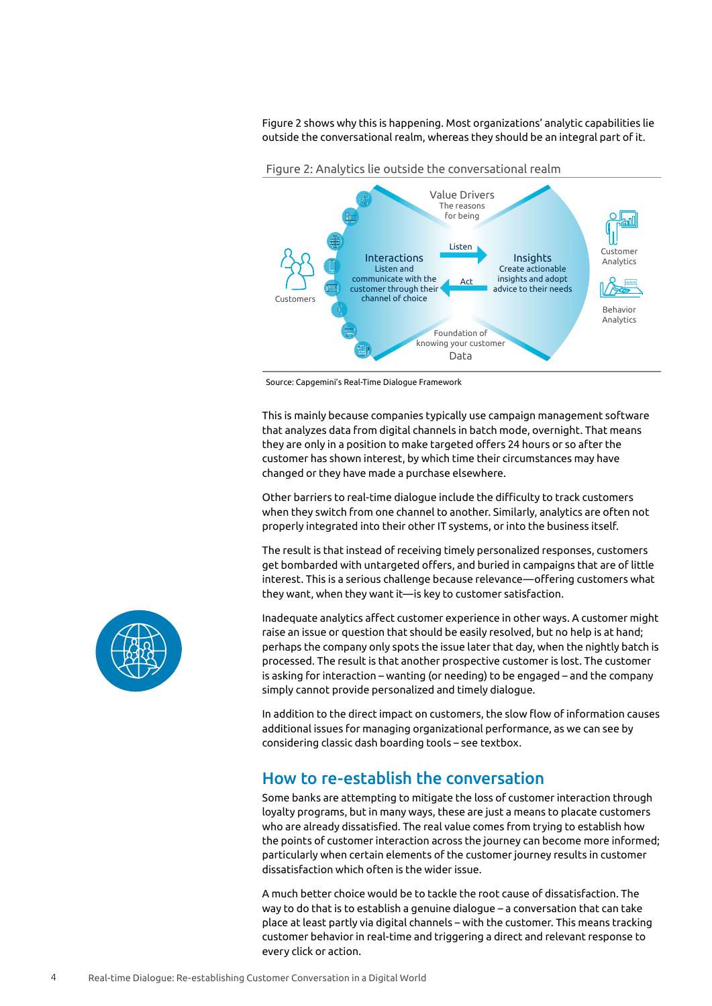Figure 2 shows why this is happening. Most organizations' analytic capabilities lie outside the conversational realm, whereas they should be an integral part of it.



Source: Capgemini's Real-Time Dialogue Framework

This is mainly because companies typically use campaign management software that analyzes data from digital channels in batch mode, overnight. That means they are only in a position to make targeted offers 24 hours or so after the customer has shown interest, by which time their circumstances may have changed or they have made a purchase elsewhere.

Other barriers to real-time dialogue include the difficulty to track customers when they switch from one channel to another. Similarly, analytics are often not properly integrated into their other IT systems, or into the business itself.

The result is that instead of receiving timely personalized responses, customers get bombarded with untargeted offers, and buried in campaigns that are of little interest. This is a serious challenge because relevance—offering customers what they want, when they want it—is key to customer satisfaction.

Inadequate analytics affect customer experience in other ways. A customer might raise an issue or question that should be easily resolved, but no help is at hand; perhaps the company only spots the issue later that day, when the nightly batch is processed. The result is that another prospective customer is lost. The customer is asking for interaction – wanting (or needing) to be engaged – and the company simply cannot provide personalized and timely dialogue.

In addition to the direct impact on customers, the slow flow of information causes additional issues for managing organizational performance, as we can see by considering classic dash boarding tools – see textbox.

#### How to re-establish the conversation

Some banks are attempting to mitigate the loss of customer interaction through loyalty programs, but in many ways, these are just a means to placate customers who are already dissatisfied. The real value comes from trying to establish how the points of customer interaction across the journey can become more informed; particularly when certain elements of the customer journey results in customer dissatisfaction which often is the wider issue.

A much better choice would be to tackle the root cause of dissatisfaction. The way to do that is to establish a genuine dialogue – a conversation that can take place at least partly via digital channels – with the customer. This means tracking customer behavior in real-time and triggering a direct and relevant response to every click or action.

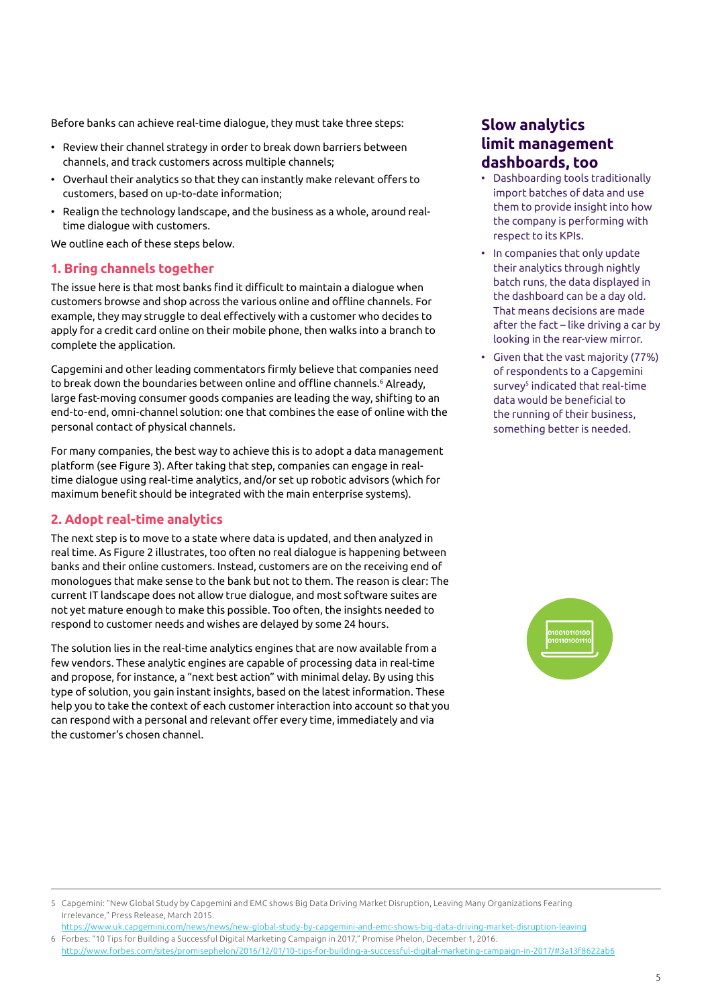Before banks can achieve real-time dialogue, they must take three steps:

- Review their channel strategy in order to break down barriers between channels, and track customers across multiple channels;
- Overhaul their analytics so that they can instantly make relevant offers to customers, based on up-to-date information;
- Realign the technology landscape, and the business as a whole, around realtime dialogue with customers.

We outline each of these steps below.

#### **1. Bring channels together**

The issue here is that most banks find it difficult to maintain a dialogue when customers browse and shop across the various online and offline channels. For example, they may struggle to deal effectively with a customer who decides to apply for a credit card online on their mobile phone, then walks into a branch to complete the application.

Capgemini and other leading commentators firmly believe that companies need to break down the boundaries between online and offline channels.6 Already, large fast-moving consumer goods companies are leading the way, shifting to an end-to-end, omni-channel solution: one that combines the ease of online with the personal contact of physical channels.

For many companies, the best way to achieve this is to adopt a data management platform (see Figure 3). After taking that step, companies can engage in realtime dialogue using real-time analytics, and/or set up robotic advisors (which for maximum benefit should be integrated with the main enterprise systems).

#### **2. Adopt real-time analytics**

The next step is to move to a state where data is updated, and then analyzed in real time. As Figure 2 illustrates, too often no real dialogue is happening between banks and their online customers. Instead, customers are on the receiving end of monologues that make sense to the bank but not to them. The reason is clear: The current IT landscape does not allow true dialogue, and most software suites are not yet mature enough to make this possible. Too often, the insights needed to respond to customer needs and wishes are delayed by some 24 hours.

The solution lies in the real-time analytics engines that are now available from a few vendors. These analytic engines are capable of processing data in real-time and propose, for instance, a "next best action" with minimal delay. By using this type of solution, you gain instant insights, based on the latest information. These help you to take the context of each customer interaction into account so that you can respond with a personal and relevant offer every time, immediately and via the customer's chosen channel.

### **Slow analytics limit management dashboards, too**

- Dashboarding tools traditionally import batches of data and use them to provide insight into how the company is performing with respect to its KPIs.
- In companies that only update their analytics through nightly batch runs, the data displayed in the dashboard can be a day old. That means decisions are made after the fact – like driving a car by looking in the rear-view mirror.
- Given that the vast majority (77%) of respondents to a Capgemini survey<sup>5</sup> indicated that real-time data would be beneficial to the running of their business, something better is needed.



<https://www.uk.capgemini.com/news/news/new-global-study-by-capgemini-and-emc-shows-big-data-driving-market-disruption-leaving> 6 Forbes: "10 Tips for Building a Successful Digital Marketing Campaign in 2017," Promise Phelon, December 1, 2016. [http://www.forbes.com/sites/promisephelon/2016/12/01/10-tips-for-building-a-successful-digital-marketing-campaign-in-2017/#3a13f8622ab6](https://www.forbes.com/sites/promisephelon/2016/12/01/10-tips-for-building-a-successful-digital-marketing-campaign-in-2017/#6db937082c47)

<sup>5</sup> Capgemini: "New Global Study by Capgemini and EMC shows Big Data Driving Market Disruption, Leaving Many Organizations Fearing Irrelevance," Press Release, March 2015.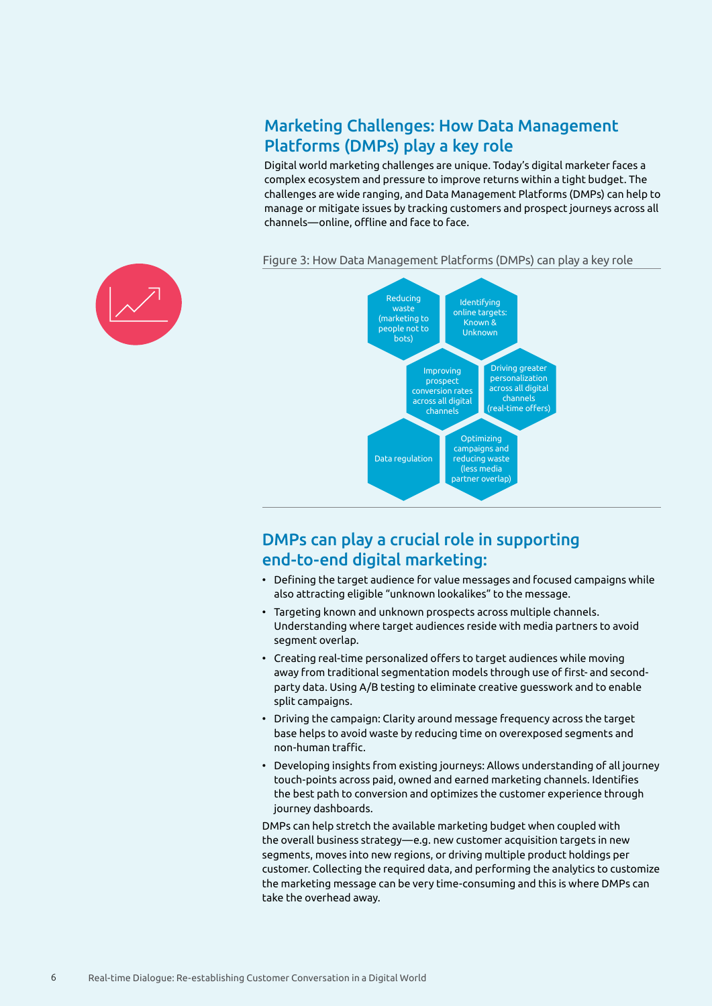### Marketing Challenges: How Data Management Platforms (DMPs) play a key role

Digital world marketing challenges are unique. Today's digital marketer faces a complex ecosystem and pressure to improve returns within a tight budget. The challenges are wide ranging, and Data Management Platforms (DMPs) can help to manage or mitigate issues by tracking customers and prospect journeys across all channels—online, offline and face to face.

> Identifying online targets: Known & Unknown

Optimizing campaigns and reducing waste (less media partner overlap)

Driving greater personalization across all digital channels (real-time offers)

#### Figure 3: How Data Management Platforms (DMPs) can play a key role

Improving prospect conversion rates across all digital channels

Reducing waste (marketing to people not to bots)

Data regulation

## DMPs can play a crucial role in supporting end-to-end digital marketing:

- Defining the target audience for value messages and focused campaigns while also attracting eligible "unknown lookalikes" to the message.
- Targeting known and unknown prospects across multiple channels. Understanding where target audiences reside with media partners to avoid segment overlap.
- Creating real-time personalized offers to target audiences while moving away from traditional segmentation models through use of first- and secondparty data. Using A/B testing to eliminate creative guesswork and to enable split campaigns.
- Driving the campaign: Clarity around message frequency across the target base helps to avoid waste by reducing time on overexposed segments and non-human traffic.
- Developing insights from existing journeys: Allows understanding of all journey touch-points across paid, owned and earned marketing channels. Identifies the best path to conversion and optimizes the customer experience through journey dashboards.

DMPs can help stretch the available marketing budget when coupled with the overall business strategy—e.g. new customer acquisition targets in new segments, moves into new regions, or driving multiple product holdings per customer. Collecting the required data, and performing the analytics to customize the marketing message can be very time-consuming and this is where DMPs can take the overhead away.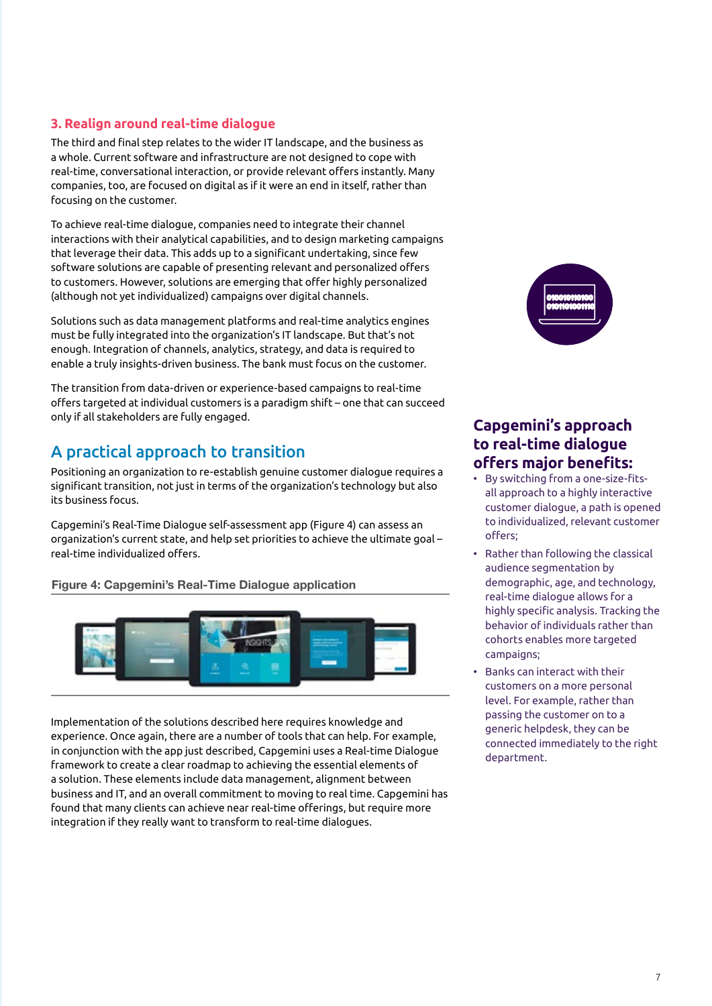#### **3. Realign around real-time dialogue**

The third and final step relates to the wider IT landscape, and the business as a whole. Current software and infrastructure are not designed to cope with real-time, conversational interaction, or provide relevant offers instantly. Many companies, too, are focused on digital as if it were an end in itself, rather than focusing on the customer.

To achieve real-time dialogue, companies need to integrate their channel interactions with their analytical capabilities, and to design marketing campaigns that leverage their data. This adds up to a significant undertaking, since few software solutions are capable of presenting relevant and personalized offers to customers. However, solutions are emerging that offer highly personalized (although not yet individualized) campaigns over digital channels.

Solutions such as data management platforms and real-time analytics engines must be fully integrated into the organization's IT landscape. But that's not enough. Integration of channels, analytics, strategy, and data is required to enable a truly insights-driven business. The bank must focus on the customer.

The transition from data-driven or experience-based campaigns to real-time offers targeted at individual customers is a paradigm shift – one that can succeed only if all stakeholders are fully engaged.

### A practical approach to transition

Positioning an organization to re-establish genuine customer dialogue requires a significant transition, not just in terms of the organization's technology but also its business focus.

Capgemini's Real-Time Dialogue self-assessment app (Figure 4) can assess an organization's current state, and help set priorities to achieve the ultimate goal – real-time individualized offers.

Figure 4: Capgemini's Real-Time Dialogue application



Implementation of the solutions described here requires knowledge and experience. Once again, there are a number of tools that can help. For example, in conjunction with the app just described, Capgemini uses a Real-time Dialogue framework to create a clear roadmap to achieving the essential elements of a solution. These elements include data management, alignment between business and IT, and an overall commitment to moving to real time. Capgemini has found that many clients can achieve near real-time offerings, but require more integration if they really want to transform to real-time dialogues.



### **Capgemini's approach to real-time dialogue offers major benefits:**

- By switching from a one-size-fitsall approach to a highly interactive customer dialogue, a path is opened to individualized, relevant customer offers;
- Rather than following the classical audience segmentation by demographic, age, and technology, real-time dialogue allows for a highly specific analysis. Tracking the behavior of individuals rather than cohorts enables more targeted campaigns;
- Banks can interact with their customers on a more personal level. For example, rather than passing the customer on to a generic helpdesk, they can be connected immediately to the right department.